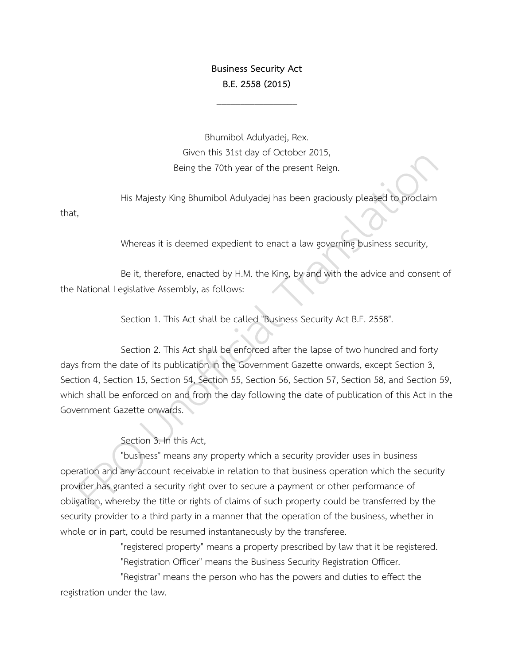### **Business Security Act B.E. 2558 (2015)**

\_\_\_\_\_\_\_\_\_\_\_\_\_\_\_\_\_

Bhumibol Adulyadej, Rex. Given this 31st day of October 2015, Being the 70th year of the present Reign.

His Majesty King Bhumibol Adulyadej has been graciously pleased to proclaim that,

Whereas it is deemed expedient to enact a law governing business security,

Be it, therefore, enacted by H.M. the King, by and with the advice and consent of the National Legislative Assembly, as follows:

Section 1. This Act shall be called "Business Security Act B.E. 2558".

Section 2. This Act shall be enforced after the lapse of two hundred and forty days from the date of its publication in the Government Gazette onwards, except Section 3, Section 4, Section 15, Section 54, Section 55, Section 56, Section 57, Section 58, and Section 59, which shall be enforced on and from the day following the date of publication of this Act in the Government Gazette onwards.

Section 3. In this Act,

"business" means any property which a security provider uses in business operation and any account receivable in relation to that business operation which the security provider has granted a security right over to secure a payment or other performance of obligation, whereby the title or rights of claims of such property could be transferred by the security provider to a third party in a manner that the operation of the business, whether in whole or in part, could be resumed instantaneously by the transferee.

> "registered property" means a property prescribed by law that it be registered. "Registration Officer" means the Business Security Registration Officer.

"Registrar" means the person who has the powers and duties to effect the registration under the law.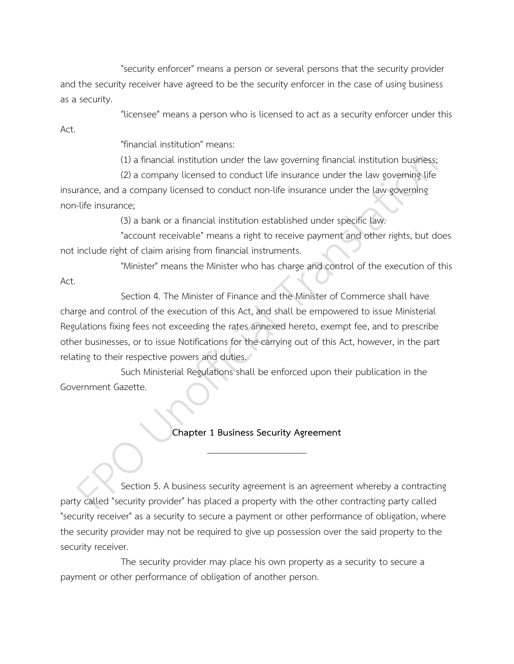"security enforcer" means a person or several persons that the security provider and the security receiver have agreed to be the security enforcer in the case of using business as a security.

"licensee" means a person who is licensed to act as a security enforcer under this

"financial institution" means:

(1) a financial institution under the law governing financial institution business;

(2) a company licensed to conduct life insurance under the law governing life insurance, and a company licensed to conduct non-life insurance under the law governing non-life insurance;

(3) a bank or a financial institution established under specific law.

"account receivable" means a right to receive payment and other rights, but does not include right of claim arising from financial instruments.

"Minister" means the Minister who has charge and control of the execution of this

Act.

Act.

Section 4. The Minister of Finance and the Minister of Commerce shall have charge and control of the execution of this Act, and shall be empowered to issue Ministerial Regulations fixing fees not exceeding the rates annexed hereto, exempt fee, and to prescribe other businesses, or to issue Notifications for the carrying out of this Act, however, in the part relating to their respective powers and duties.

Such Ministerial Regulations shall be enforced upon their publication in the Government Gazette.

## **Chapter 1 Business Security Agreement**  $\overline{\phantom{a}}$  , where the contract of the contract of the contract of the contract of the contract of the contract of the contract of the contract of the contract of the contract of the contract of the contract of the contr

Section 5. A business security agreement is an agreement whereby a contracting party called "security provider" has placed a property with the other contracting party called "security receiver" as a security to secure a payment or other performance of obligation, where the security provider may not be required to give up possession over the said property to the security receiver.

The security provider may place his own property as a security to secure a payment or other performance of obligation of another person.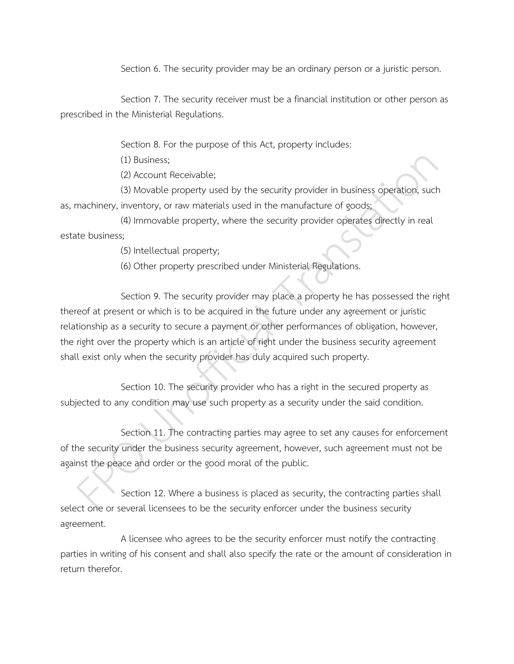Section 6. The security provider may be an ordinary person or a juristic person.

Section 7. The security receiver must be a financial institution or other person as prescribed in the Ministerial Regulations.

Section 8. For the purpose of this Act, property includes:

(1) Business;

(2) Account Receivable;

(3) Movable property used by the security provider in business operation, such as, machinery, inventory, or raw materials used in the manufacture of goods;

(4) Immovable property, where the security provider operates directly in real estate business;

(5) Intellectual property;

(6) Other property prescribed under Ministerial Regulations.

Section 9. The security provider may place a property he has possessed the right thereof at present or which is to be acquired in the future under any agreement or juristic relationship as a security to secure a payment or other performances of obligation, however, the right over the property which is an article of right under the business security agreement shall exist only when the security provider has duly acquired such property.

Section 10. The security provider who has a right in the secured property as subjected to any condition may use such property as a security under the said condition.

Section 11. The contracting parties may agree to set any causes for enforcement of the security under the business security agreement, however, such agreement must not be against the peace and order or the good moral of the public.

Section 12. Where a business is placed as security, the contracting parties shall select one or several licensees to be the security enforcer under the business security agreement.

A licensee who agrees to be the security enforcer must notify the contracting parties in writing of his consent and shall also specify the rate or the amount of consideration in return therefor.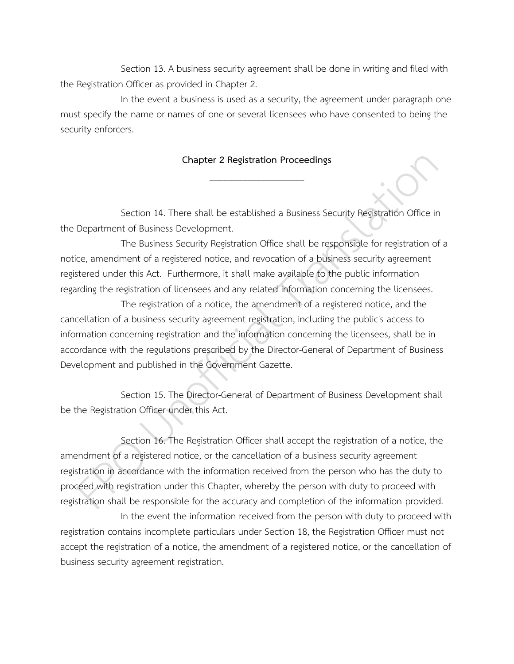Section 13. A business security agreement shall be done in writing and filed with the Registration Officer as provided in Chapter 2.

In the event a business is used as a security, the agreement under paragraph one must specify the name or names of one or several licensees who have consented to being the security enforcers.

## **Chapter 2 Registration Proceedings** \_\_\_\_\_\_\_\_\_\_\_\_\_\_\_\_\_\_\_\_

Section 14. There shall be established a Business Security Registration Office in the Department of Business Development.

The Business Security Registration Office shall be responsible for registration of a notice, amendment of a registered notice, and revocation of a business security agreement registered under this Act. Furthermore, it shall make available to the public information regarding the registration of licensees and any related information concerning the licensees.

The registration of a notice, the amendment of a registered notice, and the cancellation of a business security agreement registration, including the public's access to information concerning registration and the information concerning the licensees, shall be in accordance with the regulations prescribed by the Director-General of Department of Business Development and published in the Government Gazette.

Section 15. The Director-General of Department of Business Development shall be the Registration Officer under this Act.

Section 16. The Registration Officer shall accept the registration of a notice, the amendment of a registered notice, or the cancellation of a business security agreement registration in accordance with the information received from the person who has the duty to proceed with registration under this Chapter, whereby the person with duty to proceed with registration shall be responsible for the accuracy and completion of the information provided.

In the event the information received from the person with duty to proceed with registration contains incomplete particulars under Section 18, the Registration Officer must not accept the registration of a notice, the amendment of a registered notice, or the cancellation of business security agreement registration.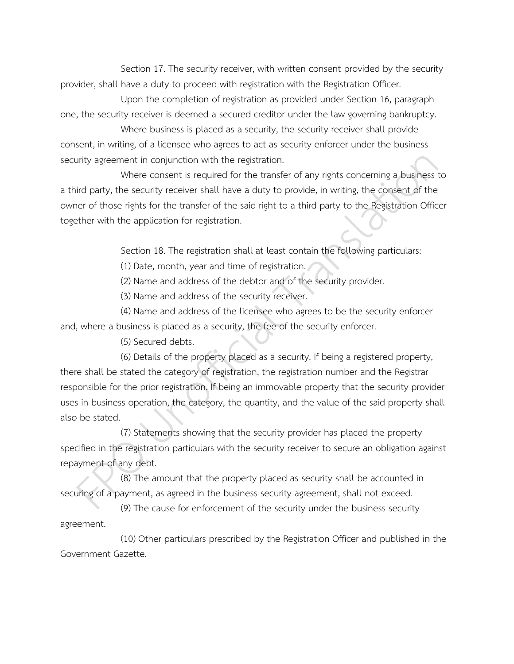Section 17. The security receiver, with written consent provided by the security provider, shall have a duty to proceed with registration with the Registration Officer.

Upon the completion of registration as provided under Section 16, paragraph one, the security receiver is deemed a secured creditor under the law governing bankruptcy.

Where business is placed as a security, the security receiver shall provide consent, in writing, of a licensee who agrees to act as security enforcer under the business security agreement in conjunction with the registration.

Where consent is required for the transfer of any rights concerning a business to a third party, the security receiver shall have a duty to provide, in writing, the consent of the owner of those rights for the transfer of the said right to a third party to the Registration Officer together with the application for registration.

Section 18. The registration shall at least contain the following particulars:

(1) Date, month, year and time of registration.

(2) Name and address of the debtor and of the security provider.

(3) Name and address of the security receiver.

(4) Name and address of the licensee who agrees to be the security enforcer and, where a business is placed as a security, the fee of the security enforcer.

(5) Secured debts.

(6) Details of the property placed as a security. If being a registered property, there shall be stated the category of registration, the registration number and the Registrar responsible for the prior registration. If being an immovable property that the security provider uses in business operation, the category, the quantity, and the value of the said property shall also be stated.

(7) Statements showing that the security provider has placed the property specified in the registration particulars with the security receiver to secure an obligation against repayment of any debt.

(8) The amount that the property placed as security shall be accounted in securing of a payment, as agreed in the business security agreement, shall not exceed.

(9) The cause for enforcement of the security under the business security agreement.

(10) Other particulars prescribed by the Registration Officer and published in the Government Gazette.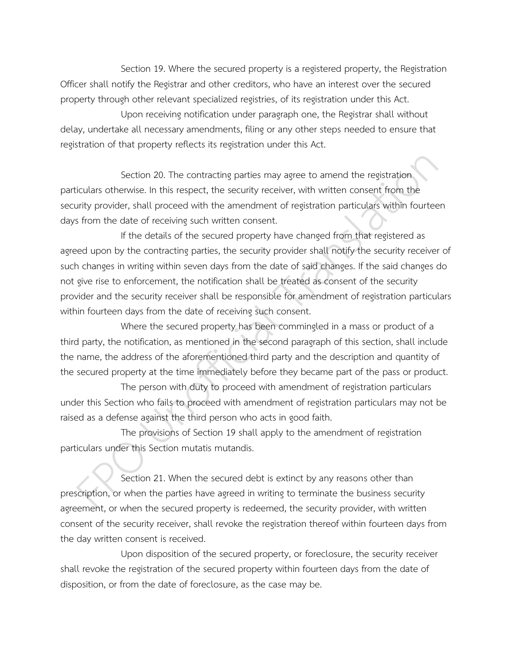Section 19. Where the secured property is a registered property, the Registration Officer shall notify the Registrar and other creditors, who have an interest over the secured property through other relevant specialized registries, of its registration under this Act.

Upon receiving notification under paragraph one, the Registrar shall without delay, undertake all necessary amendments, filing or any other steps needed to ensure that registration of that property reflects its registration under this Act.

Section 20. The contracting parties may agree to amend the registration particulars otherwise. In this respect, the security receiver, with written consent from the security provider, shall proceed with the amendment of registration particulars within fourteen days from the date of receiving such written consent.

If the details of the secured property have changed from that registered as agreed upon by the contracting parties, the security provider shall notify the security receiver of such changes in writing within seven days from the date of said changes. If the said changes do not give rise to enforcement, the notification shall be treated as consent of the security provider and the security receiver shall be responsible for amendment of registration particulars within fourteen days from the date of receiving such consent.

Where the secured property has been commingled in a mass or product of a third party, the notification, as mentioned in the second paragraph of this section, shall include the name, the address of the aforementioned third party and the description and quantity of the secured property at the time immediately before they became part of the pass or product.

The person with duty to proceed with amendment of registration particulars under this Section who fails to proceed with amendment of registration particulars may not be raised as a defense against the third person who acts in good faith.

The provisions of Section 19 shall apply to the amendment of registration particulars under this Section mutatis mutandis.

Section 21. When the secured debt is extinct by any reasons other than prescription, or when the parties have agreed in writing to terminate the business security agreement, or when the secured property is redeemed, the security provider, with written consent of the security receiver, shall revoke the registration thereof within fourteen days from the day written consent is received.

Upon disposition of the secured property, or foreclosure, the security receiver shall revoke the registration of the secured property within fourteen days from the date of disposition, or from the date of foreclosure, as the case may be.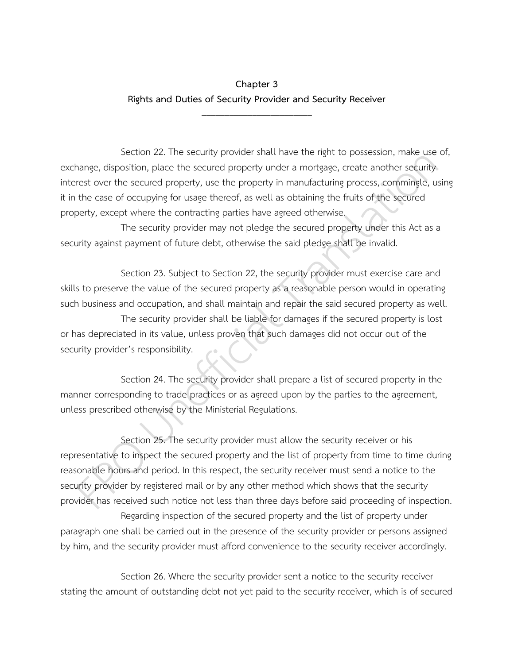## **Chapter 3 Rights and Duties of Security Provider and Security Receiver**

\_\_\_\_\_\_\_\_\_\_\_\_\_\_\_\_\_\_\_\_\_\_\_\_

Section 22. The security provider shall have the right to possession, make use of, exchange, disposition, place the secured property under a mortgage, create another security interest over the secured property, use the property in manufacturing process, commingle, using it in the case of occupying for usage thereof, as well as obtaining the fruits of the secured property, except where the contracting parties have agreed otherwise.

The security provider may not pledge the secured property under this Act as a security against payment of future debt, otherwise the said pledge shall be invalid.

Section 23. Subject to Section 22, the security provider must exercise care and skills to preserve the value of the secured property as a reasonable person would in operating such business and occupation, and shall maintain and repair the said secured property as well. The security provider shall be liable for damages if the secured property is lost or has depreciated in its value, unless proven that such damages did not occur out of the security provider's responsibility.

Section 24. The security provider shall prepare a list of secured property in the manner corresponding to trade practices or as agreed upon by the parties to the agreement, unless prescribed otherwise by the Ministerial Regulations.

Section 25. The security provider must allow the security receiver or his representative to inspect the secured property and the list of property from time to time during reasonable hours and period. In this respect, the security receiver must send a notice to the security provider by registered mail or by any other method which shows that the security provider has received such notice not less than three days before said proceeding of inspection.

Regarding inspection of the secured property and the list of property under paragraph one shall be carried out in the presence of the security provider or persons assigned by him, and the security provider must afford convenience to the security receiver accordingly.

Section 26. Where the security provider sent a notice to the security receiver stating the amount of outstanding debt not yet paid to the security receiver, which is of secured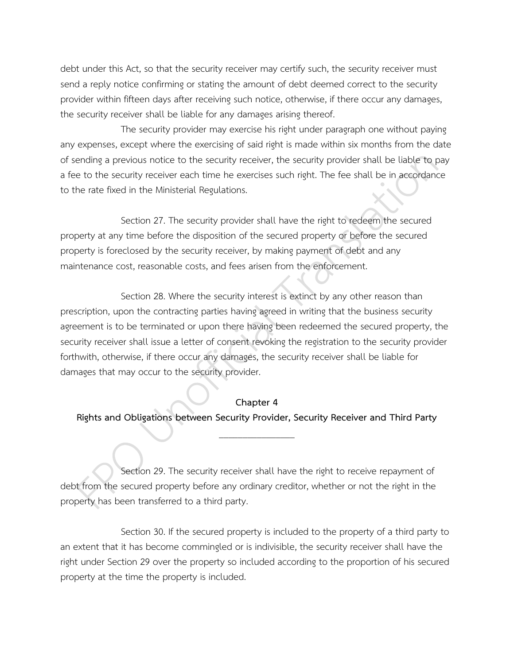debt under this Act, so that the security receiver may certify such, the security receiver must send a reply notice confirming or stating the amount of debt deemed correct to the security provider within fifteen days after receiving such notice, otherwise, if there occur any damages, the security receiver shall be liable for any damages arising thereof.

The security provider may exercise his right under paragraph one without paying any expenses, except where the exercising of said right is made within six months from the date of sending a previous notice to the security receiver, the security provider shall be liable to pay a fee to the security receiver each time he exercises such right. The fee shall be in accordance to the rate fixed in the Ministerial Regulations.

Section 27. The security provider shall have the right to redeem the secured property at any time before the disposition of the secured property or before the secured property is foreclosed by the security receiver, by making payment of debt and any maintenance cost, reasonable costs, and fees arisen from the enforcement.

Section 28. Where the security interest is extinct by any other reason than prescription, upon the contracting parties having agreed in writing that the business security agreement is to be terminated or upon there having been redeemed the secured property, the security receiver shall issue a letter of consent revoking the registration to the security provider forthwith, otherwise, if there occur any damages, the security receiver shall be liable for damages that may occur to the security provider.

#### **Chapter 4**

**Rights and Obligations between Security Provider, Security Receiver and Third Party**  $\overline{\phantom{a}}$  . The state of the state of the state of the state of the state of the state of the state of the state of the state of the state of the state of the state of the state of the state of the state of the state of

Section 29. The security receiver shall have the right to receive repayment of debt from the secured property before any ordinary creditor, whether or not the right in the property has been transferred to a third party.

Section 30. If the secured property is included to the property of a third party to an extent that it has become commingled or is indivisible, the security receiver shall have the right under Section 29 over the property so included according to the proportion of his secured property at the time the property is included.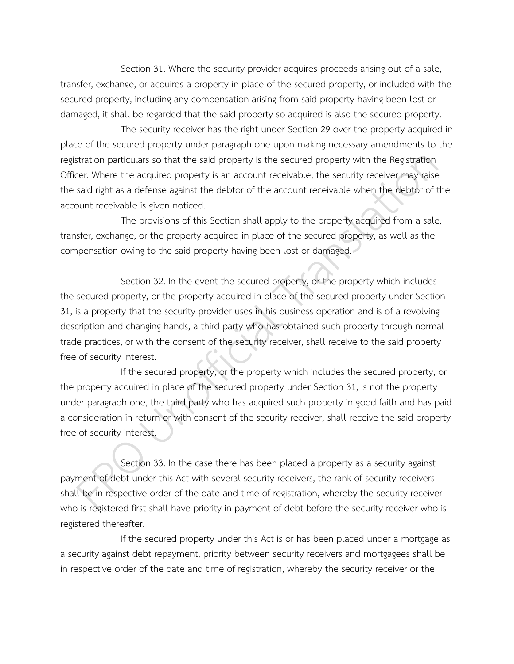Section 31. Where the security provider acquires proceeds arising out of a sale, transfer, exchange, or acquires a property in place of the secured property, or included with the secured property, including any compensation arising from said property having been lost or damaged, it shall be regarded that the said property so acquired is also the secured property.

The security receiver has the right under Section 29 over the property acquired in place of the secured property under paragraph one upon making necessary amendments to the registration particulars so that the said property is the secured property with the Registration Officer. Where the acquired property is an account receivable, the security receiver may raise the said right as a defense against the debtor of the account receivable when the debtor of the account receivable is given noticed.

The provisions of this Section shall apply to the property acquired from a sale, transfer, exchange, or the property acquired in place of the secured property, as well as the compensation owing to the said property having been lost or damaged.

Section 32. In the event the secured property, or the property which includes the secured property, or the property acquired in place of the secured property under Section 31, is a property that the security provider uses in his business operation and is of a revolving description and changing hands, a third party who has obtained such property through normal trade practices, or with the consent of the security receiver, shall receive to the said property free of security interest.

If the secured property, or the property which includes the secured property, or the property acquired in place of the secured property under Section 31, is not the property under paragraph one, the third party who has acquired such property in good faith and has paid a consideration in return or with consent of the security receiver, shall receive the said property free of security interest.

Section 33. In the case there has been placed a property as a security against payment of debt under this Act with several security receivers, the rank of security receivers shall be in respective order of the date and time of registration, whereby the security receiver who is registered first shall have priority in payment of debt before the security receiver who is registered thereafter.

If the secured property under this Act is or has been placed under a mortgage as a security against debt repayment, priority between security receivers and mortgagees shall be in respective order of the date and time of registration, whereby the security receiver or the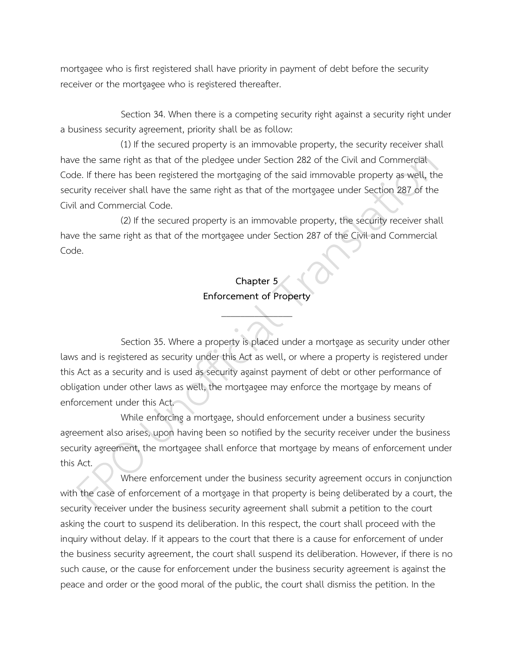mortgagee who is first registered shall have priority in payment of debt before the security receiver or the mortgagee who is registered thereafter.

Section 34. When there is a competing security right against a security right under a business security agreement, priority shall be as follow:

(1) If the secured property is an immovable property, the security receiver shall have the same right as that of the pledgee under Section 282 of the Civil and Commercial Code. If there has been registered the mortgaging of the said immovable property as well, the security receiver shall have the same right as that of the mortgagee under Section 287 of the Civil and Commercial Code.

(2) If the secured property is an immovable property, the security receiver shall have the same right as that of the mortgagee under Section 287 of the Civil and Commercial Code.

# **Chapter 5 Enforcement of Property**

 $\overline{\phantom{a}}$ 

Section 35. Where a property is placed under a mortgage as security under other laws and is registered as security under this Act as well, or where a property is registered under this Act as a security and is used as security against payment of debt or other performance of obligation under other laws as well, the mortgagee may enforce the mortgage by means of enforcement under this Act.

While enforcing a mortgage, should enforcement under a business security agreement also arises, upon having been so notified by the security receiver under the business security agreement, the mortgagee shall enforce that mortgage by means of enforcement under this Act.

Where enforcement under the business security agreement occurs in conjunction with the case of enforcement of a mortgage in that property is being deliberated by a court, the security receiver under the business security agreement shall submit a petition to the court asking the court to suspend its deliberation. In this respect, the court shall proceed with the inquiry without delay. If it appears to the court that there is a cause for enforcement of under the business security agreement, the court shall suspend its deliberation. However, if there is no such cause, or the cause for enforcement under the business security agreement is against the peace and order or the good moral of the public, the court shall dismiss the petition. In the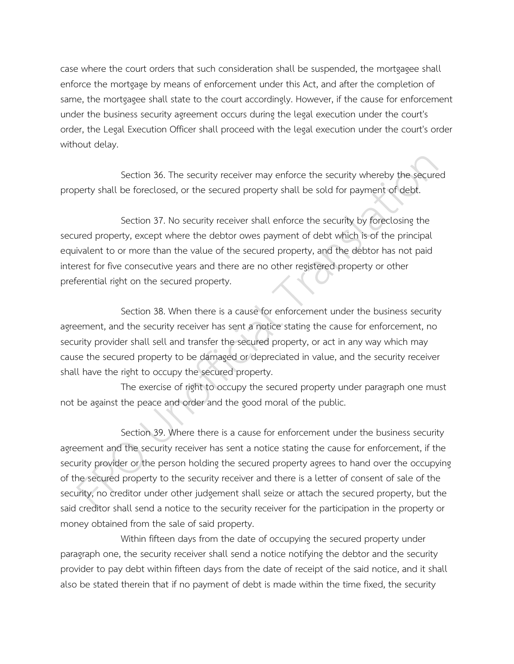case where the court orders that such consideration shall be suspended, the mortgagee shall enforce the mortgage by means of enforcement under this Act, and after the completion of same, the mortgagee shall state to the court accordingly. However, if the cause for enforcement under the business security agreement occurs during the legal execution under the court's order, the Legal Execution Officer shall proceed with the legal execution under the court's order without delay.

Section 36. The security receiver may enforce the security whereby the secured property shall be foreclosed, or the secured property shall be sold for payment of debt.

Section 37. No security receiver shall enforce the security by foreclosing the secured property, except where the debtor owes payment of debt which is of the principal equivalent to or more than the value of the secured property, and the debtor has not paid interest for five consecutive years and there are no other registered property or other preferential right on the secured property.

Section 38. When there is a cause for enforcement under the business security agreement, and the security receiver has sent a notice stating the cause for enforcement, no security provider shall sell and transfer the secured property, or act in any way which may cause the secured property to be damaged or depreciated in value, and the security receiver shall have the right to occupy the secured property.

The exercise of right to occupy the secured property under paragraph one must not be against the peace and order and the good moral of the public.

Section 39. Where there is a cause for enforcement under the business security agreement and the security receiver has sent a notice stating the cause for enforcement, if the security provider or the person holding the secured property agrees to hand over the occupying of the secured property to the security receiver and there is a letter of consent of sale of the security, no creditor under other judgement shall seize or attach the secured property, but the said creditor shall send a notice to the security receiver for the participation in the property or money obtained from the sale of said property.

Within fifteen days from the date of occupying the secured property under paragraph one, the security receiver shall send a notice notifying the debtor and the security provider to pay debt within fifteen days from the date of receipt of the said notice, and it shall also be stated therein that if no payment of debt is made within the time fixed, the security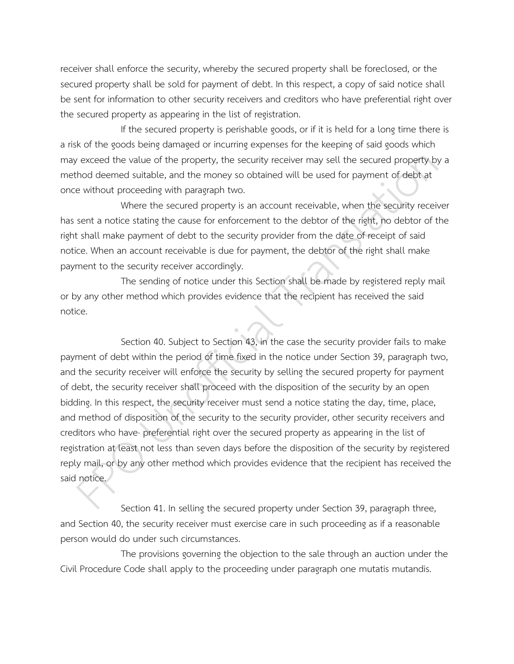receiver shall enforce the security, whereby the secured property shall be foreclosed, or the secured property shall be sold for payment of debt. In this respect, a copy of said notice shall be sent for information to other security receivers and creditors who have preferential right over the secured property as appearing in the list of registration.

If the secured property is perishable goods, or if it is held for a long time there is a risk of the goods being damaged or incurring expenses for the keeping of said goods which may exceed the value of the property, the security receiver may sell the secured property by a method deemed suitable, and the money so obtained will be used for payment of debt at once without proceeding with paragraph two.

Where the secured property is an account receivable, when the security receiver has sent a notice stating the cause for enforcement to the debtor of the right, no debtor of the right shall make payment of debt to the security provider from the date of receipt of said notice. When an account receivable is due for payment, the debtor of the right shall make payment to the security receiver accordingly.

The sending of notice under this Section shall be made by registered reply mail or by any other method which provides evidence that the recipient has received the said notice.

Section 40. Subject to Section 43, in the case the security provider fails to make payment of debt within the period of time fixed in the notice under Section 39, paragraph two, and the security receiver will enforce the security by selling the secured property for payment of debt, the security receiver shall proceed with the disposition of the security by an open bidding. In this respect, the security receiver must send a notice stating the day, time, place, and method of disposition of the security to the security provider, other security receivers and creditors who have· preferential right over the secured property as appearing in the list of registration at least not less than seven days before the disposition of the security by registered reply mail, or by any other method which provides evidence that the recipient has received the said notice.

Section 41. In selling the secured property under Section 39, paragraph three, and Section 40, the security receiver must exercise care in such proceeding as if a reasonable person would do under such circumstances.

The provisions governing the objection to the sale through an auction under the Civil Procedure Code shall apply to the proceeding under paragraph one mutatis mutandis.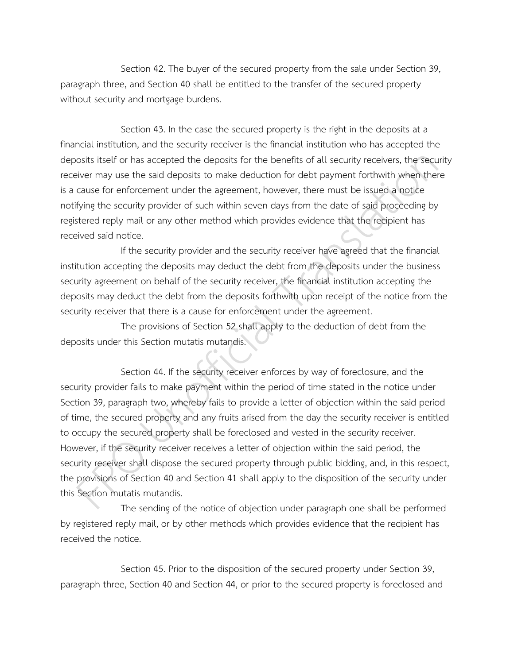Section 42. The buyer of the secured property from the sale under Section 39, paragraph three, and Section 40 shall be entitled to the transfer of the secured property without security and mortgage burdens.

Section 43. In the case the secured property is the right in the deposits at a financial institution, and the security receiver is the financial institution who has accepted the deposits itself or has accepted the deposits for the benefits of all security receivers, the security receiver may use the said deposits to make deduction for debt payment forthwith when there is a cause for enforcement under the agreement, however, there must be issued a notice notifying the security provider of such within seven days from the date of said proceeding by registered reply mail or any other method which provides evidence that the recipient has received said notice.

If the security provider and the security receiver have agreed that the financial institution accepting the deposits may deduct the debt from the deposits under the business security agreement on behalf of the security receiver, the financial institution accepting the deposits may deduct the debt from the deposits forthwith upon receipt of the notice from the security receiver that there is a cause for enforcement under the agreement.

The provisions of Section 52 shall apply to the deduction of debt from the deposits under this Section mutatis mutandis.

Section 44. If the security receiver enforces by way of foreclosure, and the security provider fails to make payment within the period of time stated in the notice under Section 39, paragraph two, whereby fails to provide a letter of objection within the said period of time, the secured property and any fruits arised from the day the security receiver is entitled to occupy the secured property shall be foreclosed and vested in the security receiver. However, if the security receiver receives a letter of objection within the said period, the security receiver shall dispose the secured property through public bidding, and, in this respect, the provisions of Section 40 and Section 41 shall apply to the disposition of the security under this Section mutatis mutandis.

The sending of the notice of objection under paragraph one shall be performed by registered reply mail, or by other methods which provides evidence that the recipient has received the notice.

Section 45. Prior to the disposition of the secured property under Section 39, paragraph three, Section 40 and Section 44, or prior to the secured property is foreclosed and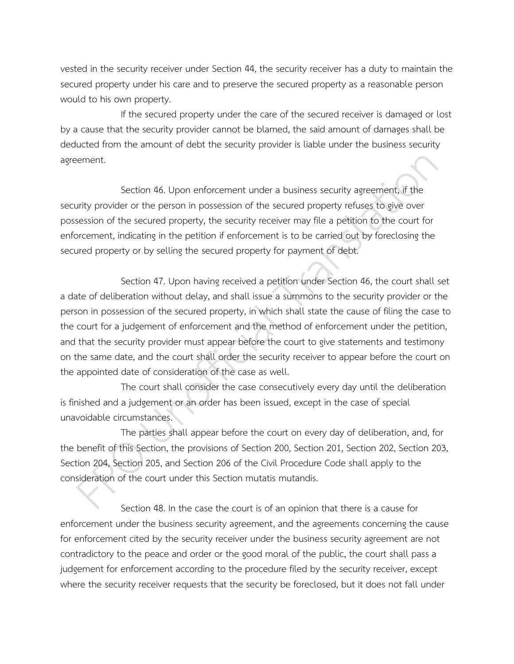vested in the security receiver under Section 44, the security receiver has a duty to maintain the secured property under his care and to preserve the secured property as a reasonable person would to his own property.

If the secured property under the care of the secured receiver is damaged or lost by a cause that the security provider cannot be blamed, the said amount of damages shall be deducted from the amount of debt the security provider is liable under the business security agreement.

Section 46. Upon enforcement under a business security agreement, if the security provider or the person in possession of the secured property refuses to give over possession of the secured property, the security receiver may file a petition to the court for enforcement, indicating in the petition if enforcement is to be carried out by foreclosing the secured property or by selling the secured property for payment of debt.

Section 47. Upon having received a petition under Section 46, the court shall set a date of deliberation without delay, and shall issue a summons to the security provider or the person in possession of the secured property, in which shall state the cause of filing the case to the court for a judgement of enforcement and the method of enforcement under the petition, and that the security provider must appear before the court to give statements and testimony on the same date, and the court shall order the security receiver to appear before the court on the appointed date of consideration of the case as well.

The court shall consider the case consecutively every day until the deliberation is finished and a judgement or an order has been issued, except in the case of special unavoidable circumstances.

The parties shall appear before the court on every day of deliberation, and, for the benefit of this Section, the provisions of Section 200, Section 201, Section 202, Section 203, Section 204, Section 205, and Section 206 of the Civil Procedure Code shall apply to the consideration of the court under this Section mutatis mutandis.

Section 48. In the case the court is of an opinion that there is a cause for enforcement under the business security agreement, and the agreements concerning the cause for enforcement cited by the security receiver under the business security agreement are not contradictory to the peace and order or the good moral of the public, the court shall pass a judgement for enforcement according to the procedure filed by the security receiver, except where the security receiver requests that the security be foreclosed, but it does not fall under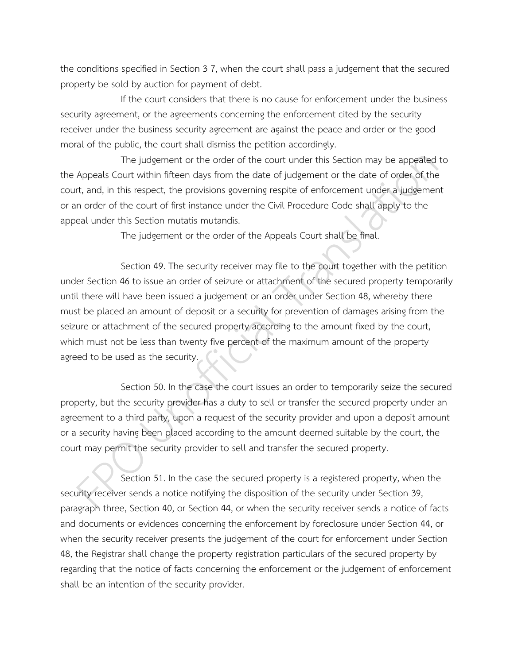the conditions specified in Section 3 7, when the court shall pass a judgement that the secured property be sold by auction for payment of debt.

If the court considers that there is no cause for enforcement under the business security agreement, or the agreements concerning the enforcement cited by the security receiver under the business security agreement are against the peace and order or the good moral of the public, the court shall dismiss the petition accordingly.

The judgement or the order of the court under this Section may be appealed to the Appeals Court within fifteen days from the date of judgement or the date of order of the court, and, in this respect, the provisions governing respite of enforcement under a judgement or an order of the court of first instance under the Civil Procedure Code shall apply to the appeal under this Section mutatis mutandis.

The judgement or the order of the Appeals Court shall be final.

Section 49. The security receiver may file to the court together with the petition under Section 46 to issue an order of seizure or attachment of the secured property temporarily until there will have been issued a judgement or an order under Section 48, whereby there must be placed an amount of deposit or a security for prevention of damages arising from the seizure or attachment of the secured property according to the amount fixed by the court, which must not be less than twenty five percent of the maximum amount of the property agreed to be used as the security.

Section 50. In the case the court issues an order to temporarily seize the secured property, but the security provider has a duty to sell or transfer the secured property under an agreement to a third party, upon a request of the security provider and upon a deposit amount or a security having been placed according to the amount deemed suitable by the court, the court may permit the security provider to sell and transfer the secured property.

Section 51. In the case the secured property is a registered property, when the security receiver sends a notice notifying the disposition of the security under Section 39, paragraph three, Section 40, or Section 44, or when the security receiver sends a notice of facts and documents or evidences concerning the enforcement by foreclosure under Section 44, or when the security receiver presents the judgement of the court for enforcement under Section 48, the Registrar shall change the property registration particulars of the secured property by regarding that the notice of facts concerning the enforcement or the judgement of enforcement shall be an intention of the security provider.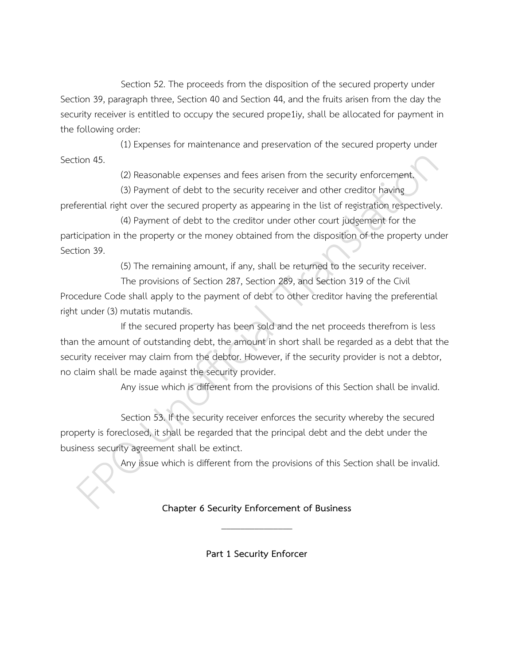Section 52. The proceeds from the disposition of the secured property under Section 39, paragraph three, Section 40 and Section 44, and the fruits arisen from the day the security receiver is entitled to occupy the secured prope1iy, shall be allocated for payment in the following order:

(1) Expenses for maintenance and preservation of the secured property under Section 45.

(2) Reasonable expenses and fees arisen from the security enforcement.

(3) Payment of debt to the security receiver and other creditor having

preferential right over the secured property as appearing in the list of registration respectively.

(4) Payment of debt to the creditor under other court judgement for the participation in the property or the money obtained from the disposition of the property under Section 39.

(5) The remaining amount, if any, shall be returned to the security receiver.

The provisions of Section 287, Section 289, and Section 319 of the Civil Procedure Code shall apply to the payment of debt to other creditor having the preferential right under (3) mutatis mutandis.

If the secured property has been sold and the net proceeds therefrom is less than the amount of outstanding debt, the amount in short shall be regarded as a debt that the security receiver may claim from the debtor. However, if the security provider is not a debtor, no claim shall be made against the security provider.

Any issue which is different from the provisions of this Section shall be invalid.

Section 53. If the security receiver enforces the security whereby the secured property is foreclosed, it shall be regarded that the principal debt and the debt under the business security agreement shall be extinct.

Any issue which is different from the provisions of this Section shall be invalid.

**Chapter 6 Security Enforcement of Business** \_\_\_\_\_\_\_\_\_\_\_\_\_\_\_

**Part 1 Security Enforcer**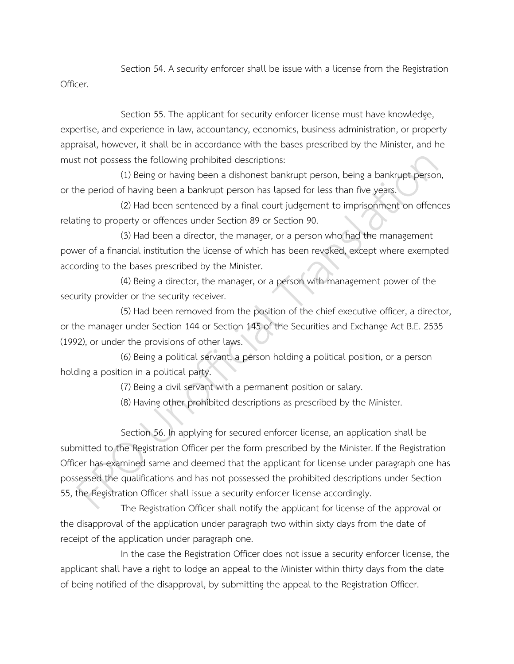Section 54. A security enforcer shall be issue with a license from the Registration Officer.

Section 55. The applicant for security enforcer license must have knowledge, expertise, and experience in law, accountancy, economics, business administration, or property appraisal, however, it shall be in accordance with the bases prescribed by the Minister, and he must not possess the following prohibited descriptions:

(1) Being or having been a dishonest bankrupt person, being a bankrupt person, or the period of having been a bankrupt person has lapsed for less than five years.

(2) Had been sentenced by a final court judgement to imprisonment on offences relating to property or offences under Section 89 or Section 90.

(3) Had been a director, the manager, or a person who had the management power of a financial institution the license of which has been revoked, except where exempted according to the bases prescribed by the Minister.

(4) Being a director, the manager, or a person with management power of the security provider or the security receiver.

(5) Had been removed from the position of the chief executive officer, a director, or the manager under Section 144 or Section 145 of the Securities and Exchange Act B.E. 2535 (1992), or under the provisions of other laws.

(6) Being a political servant, a person holding a political position, or a person holding a position in a political party.

(7) Being a civil servant with a permanent position or salary.

(8) Having other prohibited descriptions as prescribed by the Minister.

Section 56. In applying for secured enforcer license, an application shall be submitted to the Registration Officer per the form prescribed by the Minister. If the Registration Officer has examined same and deemed that the applicant for license under paragraph one has possessed the qualifications and has not possessed the prohibited descriptions under Section 55, the Registration Officer shall issue a security enforcer license accordingly.

The Registration Officer shall notify the applicant for license of the approval or the disapproval of the application under paragraph two within sixty days from the date of receipt of the application under paragraph one.

In the case the Registration Officer does not issue a security enforcer license, the applicant shall have a right to lodge an appeal to the Minister within thirty days from the date of being notified of the disapproval, by submitting the appeal to the Registration Officer.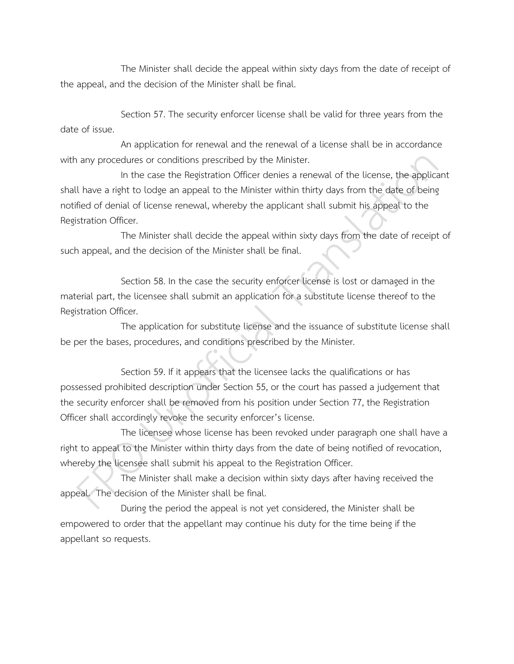The Minister shall decide the appeal within sixty days from the date of receipt of the appeal, and the decision of the Minister shall be final.

Section 57. The security enforcer license shall be valid for three years from the date of issue.

An application for renewal and the renewal of a license shall be in accordance with any procedures or conditions prescribed by the Minister.

In the case the Registration Officer denies a renewal of the license, the applicant shall have a right to lodge an appeal to the Minister within thirty days from the date of being notified of denial of license renewal, whereby the applicant shall submit his appeal to the Registration Officer.

The Minister shall decide the appeal within sixty days from the date of receipt of such appeal, and the decision of the Minister shall be final.

Section 58. In the case the security enforcer license is lost or damaged in the material part, the licensee shall submit an application for a substitute license thereof to the Registration Officer.

The application for substitute license and the issuance of substitute license shall be per the bases, procedures, and conditions prescribed by the Minister.

Section 59. If it appears that the licensee lacks the qualifications or has possessed prohibited description under Section 55, or the court has passed a judgement that the security enforcer shall be removed from his position under Section 77, the Registration Officer shall accordingly revoke the security enforcer's license.

The licensee whose license has been revoked under paragraph one shall have a right to appeal to the Minister within thirty days from the date of being notified of revocation, whereby the licensee shall submit his appeal to the Registration Officer.

The Minister shall make a decision within sixty days after having received the appeal. The decision of the Minister shall be final.

During the period the appeal is not yet considered, the Minister shall be empowered to order that the appellant may continue his duty for the time being if the appellant so requests.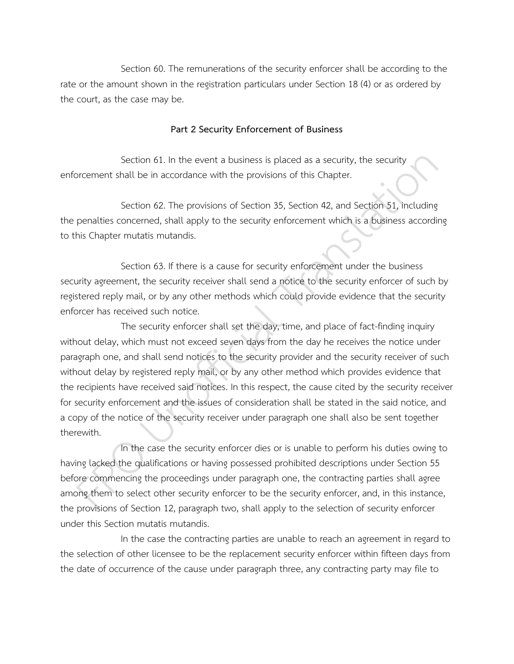Section 60. The remunerations of the security enforcer shall be according to the rate or the amount shown in the registration particulars under Section 18 (4) or as ordered by the court, as the case may be.

### **Part 2 Security Enforcement of Business**

Section 61. In the event a business is placed as a security, the security enforcement shall be in accordance with the provisions of this Chapter.

Section 62. The provisions of Section 35, Section 42, and Section 51, including the penalties concerned, shall apply to the security enforcement which is a business according to this Chapter mutatis mutandis.

Section 63. If there is a cause for security enforcement under the business security agreement, the security receiver shall send a notice to the security enforcer of such by registered reply mail, or by any other methods which could provide evidence that the security enforcer has received such notice.

The security enforcer shall set the day, time, and place of fact-finding inquiry without delay, which must not exceed seven days from the day he receives the notice under paragraph one, and shall send notices to the security provider and the security receiver of such without delay by registered reply mail, or by any other method which provides evidence that the recipients have received said notices. In this respect, the cause cited by the security receiver for security enforcement and the issues of consideration shall be stated in the said notice, and a copy of the notice of the security receiver under paragraph one shall also be sent together therewith.

In the case the security enforcer dies or is unable to perform his duties owing to having lacked the qualifications or having possessed prohibited descriptions under Section 55 before commencing the proceedings under paragraph one, the contracting parties shall agree among them to select other security enforcer to be the security enforcer, and, in this instance, the provisions of Section 12, paragraph two, shall apply to the selection of security enforcer under this Section mutatis mutandis.

In the case the contracting parties are unable to reach an agreement in regard to the selection of other licensee to be the replacement security enforcer within fifteen days from the date of occurrence of the cause under paragraph three, any contracting party may file to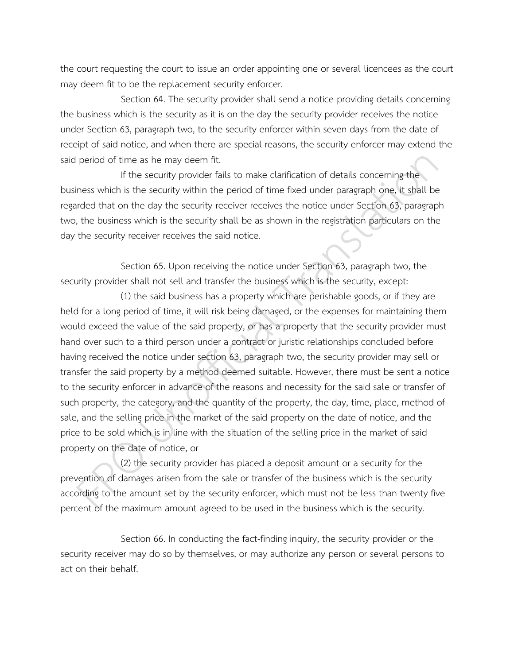the court requesting the court to issue an order appointing one or several licencees as the court may deem fit to be the replacement security enforcer.

Section 64. The security provider shall send a notice providing details concerning the business which is the security as it is on the day the security provider receives the notice under Section 63, paragraph two, to the security enforcer within seven days from the date of receipt of said notice, and when there are special reasons, the security enforcer may extend the said period of time as he may deem fit.

If the security provider fails to make clarification of details concerning the business which is the security within the period of time fixed under paragraph one, it shall be regarded that on the day the security receiver receives the notice under Section 63, paragraph two, the business which is the security shall be as shown in the registration particulars on the day the security receiver receives the said notice.

Section 65. Upon receiving the notice under Section 63, paragraph two, the security provider shall not sell and transfer the business which is the security, except:

(1) the said business has a property which are perishable goods, or if they are held for a long period of time, it will risk being damaged, or the expenses for maintaining them would exceed the value of the said property, or has a property that the security provider must hand over such to a third person under a contract or juristic relationships concluded before having received the notice under section 63, paragraph two, the security provider may sell or transfer the said property by a method deemed suitable. However, there must be sent a notice to the security enforcer in advance of the reasons and necessity for the said sale or transfer of such property, the category, and the quantity of the property, the day, time, place, method of sale, and the selling price in the market of the said property on the date of notice, and the price to be sold which is in line with the situation of the selling price in the market of said property on the date of notice, or

(2) the security provider has placed a deposit amount or a security for the prevention of damages arisen from the sale or transfer of the business which is the security according to the amount set by the security enforcer, which must not be less than twenty five percent of the maximum amount agreed to be used in the business which is the security.

Section 66. In conducting the fact-finding inquiry, the security provider or the security receiver may do so by themselves, or may authorize any person or several persons to act on their behalf.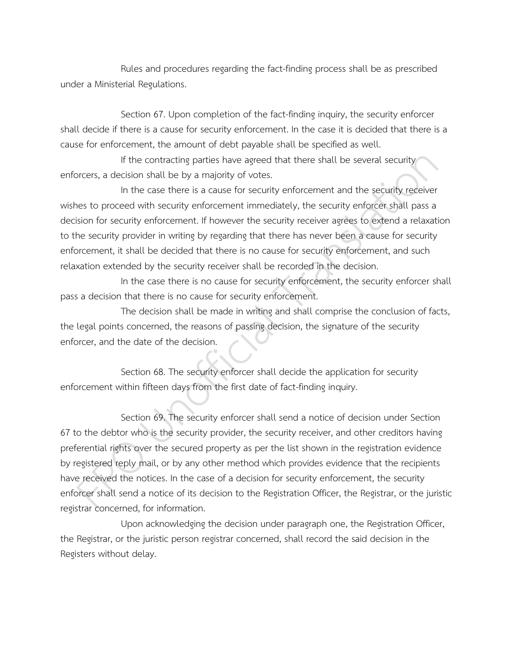Rules and procedures regarding the fact-finding process shall be as prescribed under a Ministerial Regulations.

Section 67. Upon completion of the fact-finding inquiry, the security enforcer shall decide if there is a cause for security enforcement. In the case it is decided that there is a cause for enforcement, the amount of debt payable shall be specified as well.

If the contracting parties have agreed that there shall be several security enforcers, a decision shall be by a majority of votes.

In the case there is a cause for security enforcement and the security receiver wishes to proceed with security enforcement immediately, the security enforcer shall pass a decision for security enforcement. If however the security receiver agrees to extend a relaxation to the security provider in writing by regarding that there has never been a cause for security enforcement, it shall be decided that there is no cause for security enforcement, and such relaxation extended by the security receiver shall be recorded in the decision.

In the case there is no cause for security enforcement, the security enforcer shall pass a decision that there is no cause for security enforcement.

The decision shall be made in writing and shall comprise the conclusion of facts, the legal points concerned, the reasons of passing decision, the signature of the security enforcer, and the date of the decision.

Section 68. The security enforcer shall decide the application for security enforcement within fifteen days from the first date of fact-finding inquiry.

Section 69. The security enforcer shall send a notice of decision under Section 67 to the debtor who is the security provider, the security receiver, and other creditors having preferential rights over the secured property as per the list shown in the registration evidence by registered reply mail, or by any other method which provides evidence that the recipients have received the notices. In the case of a decision for security enforcement, the security enforcer shall send a notice of its decision to the Registration Officer, the Registrar, or the juristic registrar concerned, for information.

Upon acknowledging the decision under paragraph one, the Registration Officer, the Registrar, or the juristic person registrar concerned, shall record the said decision in the Registers without delay.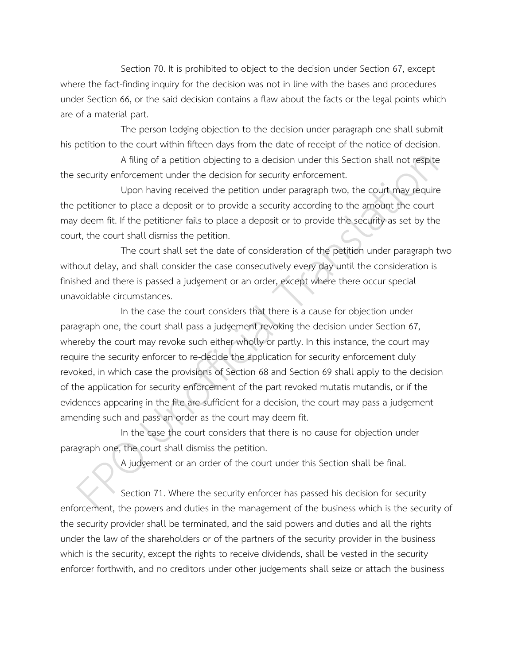Section 70. It is prohibited to object to the decision under Section 67, except where the fact-finding inquiry for the decision was not in line with the bases and procedures under Section 66, or the said decision contains a flaw about the facts or the legal points which are of a material part.

The person lodging objection to the decision under paragraph one shall submit his petition to the court within fifteen days from the date of receipt of the notice of decision.

A filing of a petition objecting to a decision under this Section shall not respite the security enforcement under the decision for security enforcement.

Upon having received the petition under paragraph two, the court may require the petitioner to place a deposit or to provide a security according to the amount the court may deem fit. If the petitioner fails to place a deposit or to provide the security as set by the court, the court shall dismiss the petition.

The court shall set the date of consideration of the petition under paragraph two without delay, and shall consider the case consecutively every day until the consideration is finished and there is passed a judgement or an order, except where there occur special unavoidable circumstances.

In the case the court considers that there is a cause for objection under paragraph one, the court shall pass a judgement revoking the decision under Section 67, whereby the court may revoke such either wholly or partly. In this instance, the court may require the security enforcer to re-decide the application for security enforcement duly revoked, in which case the provisions of Section 68 and Section 69 shall apply to the decision of the application for security enforcement of the part revoked mutatis mutandis, or if the evidences appearing in the file are sufficient for a decision, the court may pass a judgement amending such and pass an order as the court may deem fit.

In the case the court considers that there is no cause for objection under paragraph one, the court shall dismiss the petition.

A judgement or an order of the court under this Section shall be final.

Section 71. Where the security enforcer has passed his decision for security enforcement, the powers and duties in the management of the business which is the security of the security provider shall be terminated, and the said powers and duties and all the rights under the law of the shareholders or of the partners of the security provider in the business which is the security, except the rights to receive dividends, shall be vested in the security enforcer forthwith, and no creditors under other judgements shall seize or attach the business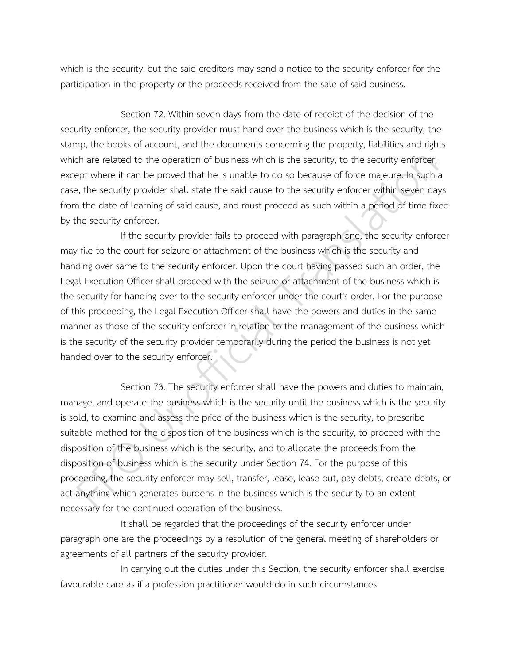which is the security, but the said creditors may send a notice to the security enforcer for the participation in the property or the proceeds received from the sale of said business.

Section 72. Within seven days from the date of receipt of the decision of the security enforcer, the security provider must hand over the business which is the security, the stamp, the books of account, and the documents concerning the property, liabilities and rights which are related to the operation of business which is the security, to the security enforcer, except where it can be proved that he is unable to do so because of force majeure. In such a case, the security provider shall state the said cause to the security enforcer within seven days from the date of learning of said cause, and must proceed as such within a period of time fixed by the security enforcer.

If the security provider fails to proceed with paragraph one, the security enforcer may file to the court for seizure or attachment of the business which is the security and handing over same to the security enforcer. Upon the court having passed such an order, the Legal Execution Officer shall proceed with the seizure or attachment of the business which is the security for handing over to the security enforcer under the court's order. For the purpose of this proceeding, the Legal Execution Officer shall have the powers and duties in the same manner as those of the security enforcer in relation to the management of the business which is the security of the security provider temporarily during the period the business is not yet handed over to the security enforcer.

Section 73. The security enforcer shall have the powers and duties to maintain, manage, and operate the business which is the security until the business which is the security is sold, to examine and assess the price of the business which is the security, to prescribe suitable method for the disposition of the business which is the security, to proceed with the disposition of the business which is the security, and to allocate the proceeds from the disposition of business which is the security under Section 74. For the purpose of this proceeding, the security enforcer may sell, transfer, lease, lease out, pay debts, create debts, or act anything which generates burdens in the business which is the security to an extent necessary for the continued operation of the business.

It shall be regarded that the proceedings of the security enforcer under paragraph one are the proceedings by a resolution of the general meeting of shareholders or agreements of all partners of the security provider.

In carrying out the duties under this Section, the security enforcer shall exercise favourable care as if a profession practitioner would do in such circumstances.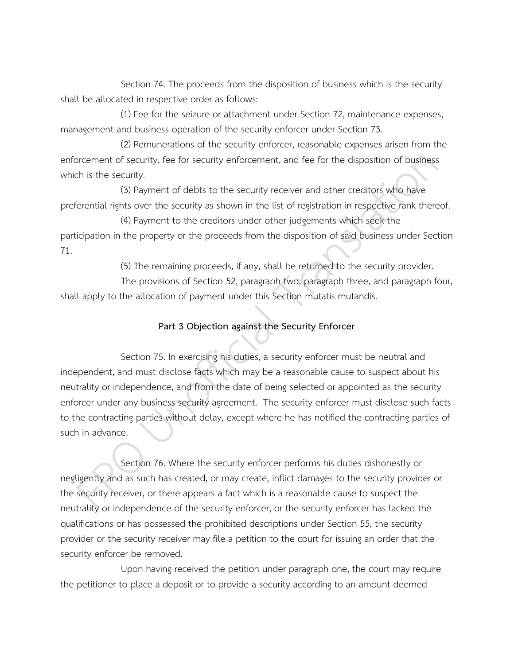Section 74. The proceeds from the disposition of business which is the security shall be allocated in respective order as follows:

(1) Fee for the seizure or attachment under Section 72, maintenance expenses, management and business operation of the security enforcer under Section 73.

(2) Remunerations of the security enforcer, reasonable expenses arisen from the enforcement of security, fee for security enforcement, and fee for the disposition of business which is the security.

(3) Payment of debts to the security receiver and other creditors who have preferential rights over the security as shown in the list of registration in respective rank thereof.

(4) Payment to the creditors under other judgements which seek the participation in the property or the proceeds from the disposition of said business under Section 71.

(5) The remaining proceeds, if any, shall be returned to the security provider.

The provisions of Section 52, paragraph two, paragraph three, and paragraph four, shall apply to the allocation of payment under this Section mutatis mutandis.

### **Part 3 Objection against the Security Enforcer**

Section 75. In exercising his duties, a security enforcer must be neutral and independent, and must disclose facts which may be a reasonable cause to suspect about his neutrality or independence, and from the date of being selected or appointed as the security enforcer under any business security agreement. The security enforcer must disclose such facts to the contracting parties without delay, except where he has notified the contracting parties of such in advance.

Section 76. Where the security enforcer performs his duties dishonestly or negligently and as such has created, or may create, inflict damages to the security provider or the security receiver, or there appears a fact which is a reasonable cause to suspect the neutrality or independence of the security enforcer, or the security enforcer has lacked the qualifications or has possessed the prohibited descriptions under Section 55, the security provider or the security receiver may file a petition to the court for issuing an order that the security enforcer be removed.

Upon having received the petition under paragraph one, the court may require the petitioner to place a deposit or to provide a security according to an amount deemed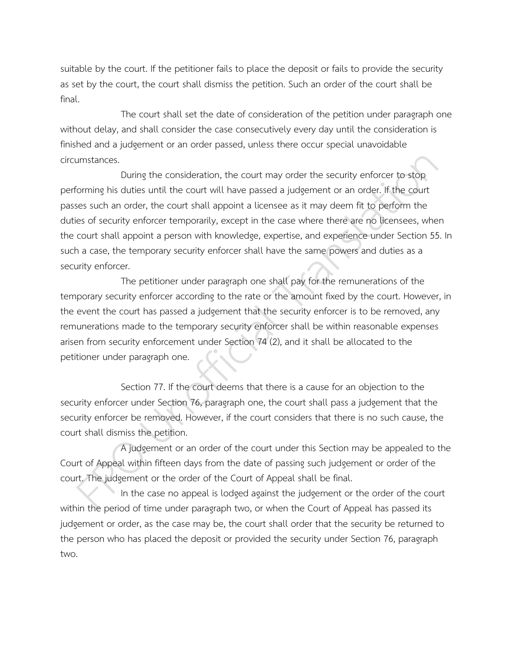suitable by the court. If the petitioner fails to place the deposit or fails to provide the security as set by the court, the court shall dismiss the petition. Such an order of the court shall be final.

The court shall set the date of consideration of the petition under paragraph one without delay, and shall consider the case consecutively every day until the consideration is finished and a judgement or an order passed, unless there occur special unavoidable circumstances.

During the consideration, the court may order the security enforcer to stop performing his duties until the court will have passed a judgement or an order. If the court passes such an order, the court shall appoint a licensee as it may deem fit to perform the duties of security enforcer temporarily, except in the case where there are no licensees, when the court shall appoint a person with knowledge, expertise, and experience under Section 55. In such a case, the temporary security enforcer shall have the same powers and duties as a security enforcer.

The petitioner under paragraph one shall pay for the remunerations of the temporary security enforcer according to the rate or the amount fixed by the court. However, in the event the court has passed a judgement that the security enforcer is to be removed, any remunerations made to the temporary security enforcer shall be within reasonable expenses arisen from security enforcement under Section 74 (2), and it shall be allocated to the petitioner under paragraph one.

Section 77. If the court deems that there is a cause for an objection to the security enforcer under Section 76, paragraph one, the court shall pass a judgement that the security enforcer be removed. However, if the court considers that there is no such cause, the court shall dismiss the petition.

A judgement or an order of the court under this Section may be appealed to the Court of Appeal within fifteen days from the date of passing such judgement or order of the court. The judgement or the order of the Court of Appeal shall be final.

In the case no appeal is lodged against the judgement or the order of the court within the period of time under paragraph two, or when the Court of Appeal has passed its judgement or order, as the case may be, the court shall order that the security be returned to the person who has placed the deposit or provided the security under Section 76, paragraph two.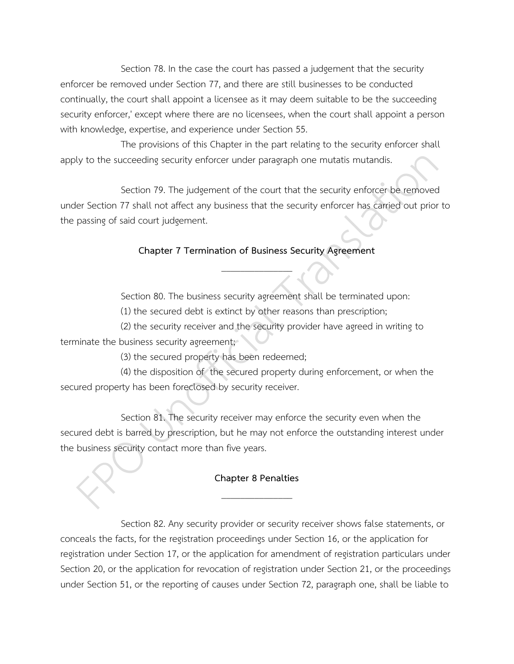Section 78. In the case the court has passed a judgement that the security enforcer be removed under Section 77, and there are still businesses to be conducted continually, the court shall appoint a licensee as it may deem suitable to be the succeeding security enforcer,' except where there are no licensees, when the court shall appoint a person with knowledge, expertise, and experience under Section 55.

The provisions of this Chapter in the part relating to the security enforcer shall apply to the succeeding security enforcer under paragraph one mutatis mutandis.

Section 79. The judgement of the court that the security enforcer be removed under Section 77 shall not affect any business that the security enforcer has carried out prior to the passing of said court judgement.

## **Chapter 7 Termination of Business Security Agreement** \_\_\_\_\_\_\_\_\_\_\_\_\_\_\_

Section 80. The business security agreement shall be terminated upon:

(1) the secured debt is extinct by other reasons than prescription;

(2) the security receiver and the security provider have agreed in writing to terminate the business security agreement;

(3) the secured property has been redeemed;

(4) the disposition of the secured property during enforcement, or when the secured property has been foreclosed by security receiver.

Section 81. The security receiver may enforce the security even when the secured debt is barred by prescription, but he may not enforce the outstanding interest under the business security contact more than five years.

## **Chapter 8 Penalties** \_\_\_\_\_\_\_\_\_\_\_\_\_\_\_

Section 82. Any security provider or security receiver shows false statements, or conceals the facts, for the registration proceedings under Section 16, or the application for registration under Section 17, or the application for amendment of registration particulars under Section 20, or the application for revocation of registration under Section 21, or the proceedings under Section 51, or the reporting of causes under Section 72, paragraph one, shall be liable to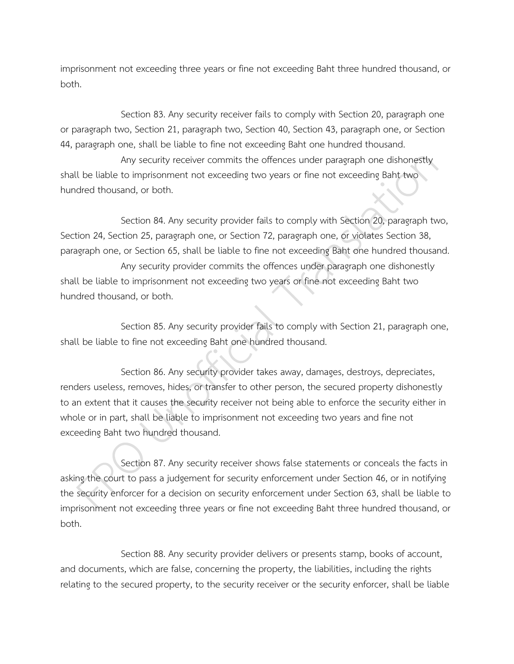imprisonment not exceeding three years or fine not exceeding Baht three hundred thousand, or both.

Section 83. Any security receiver fails to comply with Section 20, paragraph one or paragraph two, Section 21, paragraph two, Section 40, Section 43, paragraph one, or Section 44, paragraph one, shall be liable to fine not exceeding Baht one hundred thousand.

Any security receiver commits the offences under paragraph one dishonestly shall be liable to imprisonment not exceeding two years or fine not exceeding Baht two hundred thousand, or both.

Section 84. Any security provider fails to comply with Section 20, paragraph two, Section 24, Section 25, paragraph one, or Section 72, paragraph one, or violates Section 38, paragraph one, or Section 65, shall be liable to fine not exceeding Baht one hundred thousand.

Any security provider commits the offences under paragraph one dishonestly shall be liable to imprisonment not exceeding two years or fine not exceeding Baht two hundred thousand, or both.

Section 85. Any security provider fails to comply with Section 21, paragraph one, shall be liable to fine not exceeding Baht one hundred thousand.

Section 86. Any security provider takes away, damages, destroys, depreciates, renders useless, removes, hides, or transfer to other person, the secured property dishonestly to an extent that it causes the security receiver not being able to enforce the security either in whole or in part, shall be liable to imprisonment not exceeding two years and fine not exceeding Baht two hundred thousand.

Section 87. Any security receiver shows false statements or conceals the facts in asking the court to pass a judgement for security enforcement under Section 46, or in notifying the security enforcer for a decision on security enforcement under Section 63, shall be liable to imprisonment not exceeding three years or fine not exceeding Baht three hundred thousand, or both.

Section 88. Any security provider delivers or presents stamp, books of account, and documents, which are false, concerning the property, the liabilities, including the rights relating to the secured property, to the security receiver or the security enforcer, shall be liable